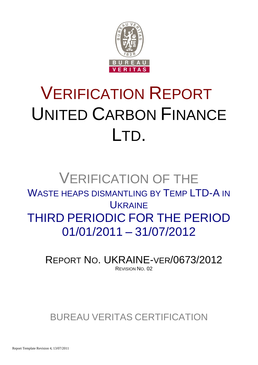

# VERIFICATION REPORT UNITED CARBON FINANCE LTD.

## VERIFICATION OF THE WASTE HEAPS DISMANTLING BY TEMP LTD-A IN **UKRAINE** THIRD PERIODIC FOR THE PERIOD 01/01/2011 – 31/07/2012

REPORT NO. UKRAINE-VER/0673/2012 REVISION NO. 02

### BUREAU VERITAS CERTIFICATION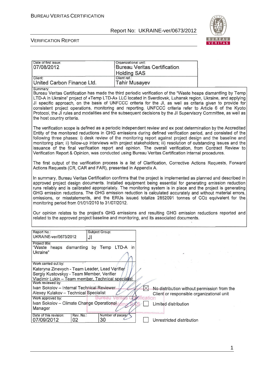

#### VERIFICATION REPORT

| Date of first issue:<br>07/08/2012                                                                                                                                                                                                                                                                                                                                                                                                                                                                                                                                                                                                                                                      | Organizational unit:<br><b>Bureau Veritas Certification</b><br><b>Holding SAS</b> |                                                                                          |  |
|-----------------------------------------------------------------------------------------------------------------------------------------------------------------------------------------------------------------------------------------------------------------------------------------------------------------------------------------------------------------------------------------------------------------------------------------------------------------------------------------------------------------------------------------------------------------------------------------------------------------------------------------------------------------------------------------|-----------------------------------------------------------------------------------|------------------------------------------------------------------------------------------|--|
| Client:<br>United Carbon Finance Ltd.                                                                                                                                                                                                                                                                                                                                                                                                                                                                                                                                                                                                                                                   | Client ref.:<br><b>Tahir Musayev</b>                                              |                                                                                          |  |
| Summary:<br>Bureau Veritas Certification has made the third periodic verification of the "Waste heaps dismantling by Temp<br>LTD-A in Ukraine" project of «Temp LTD-A» LLC located in Sverdlovsk, Luhansk region, Ukraine, and applying<br>JI specific approach, on the basis of UNFCCC criteria for the JI, as well as criteria given to provide for<br>consistent project operations, monitoring and reporting. UNFCCC criteria refer to Article 6 of the Kyoto<br>Protocol, the JI rules and modalities and the subsequent decisions by the JI Supervisory Committee, as well as<br>the host country criteria.                                                                       |                                                                                   |                                                                                          |  |
| The verification scope is defined as a periodic independent review and ex post determination by the Accredited<br>Entity of the monitored reductions in GHG emissions during defined verification period, and consisted of the<br>following three phases: i) desk review of the monitoring report against project design and the baseline and<br>monitoring plan; ii) follow-up interviews with project stakeholders; iii) resolution of outstanding issues and the<br>issuance of the final verification report and opinion. The overall verification, from Contract Review to<br>Verification Report & Opinion, was conducted using Bureau Veritas Certification internal procedures. |                                                                                   |                                                                                          |  |
| The first output of the verification process is a list of Clarification, Corrective Actions Requests, Forward<br>Actions Requests (CR, CAR and FAR), presented in Appendix A.                                                                                                                                                                                                                                                                                                                                                                                                                                                                                                           |                                                                                   |                                                                                          |  |
| In summary, Bureau Veritas Certification confirms that the project is implemented as planned and described in<br>approved project design documents. Installed equipment being essential for generating emission reduction<br>runs reliably and is calibrated appropriately. The monitoring system is in place and the project is generating<br>GHG emission reductions. The GHG emission reduction is calculated accurately and without material errors,<br>omissions, or misstatements, and the ERUs issued totalize 2852091 tonnes of CO2 equivalent for the<br>monitoring period from 01/01/2010 to 31/07/2012.                                                                      |                                                                                   |                                                                                          |  |
| Our opinion relates to the project's GHG emissions and resulting GHG emission reductions reported and<br>related to the approved project baseline and monitoring, and its associated documents.                                                                                                                                                                                                                                                                                                                                                                                                                                                                                         |                                                                                   |                                                                                          |  |
| Report No.:<br>Subject Group:<br>UKRAINE-ver/0673/2012<br>JI                                                                                                                                                                                                                                                                                                                                                                                                                                                                                                                                                                                                                            |                                                                                   |                                                                                          |  |
| Project title:<br>"Waste heaps dismantling by Temp LTD-A in<br>Ukraine"                                                                                                                                                                                                                                                                                                                                                                                                                                                                                                                                                                                                                 |                                                                                   |                                                                                          |  |
| Work carried out by:<br>Kateryna Zinevych - Team Leader, Lead Verifier<br>Sergiy Kustovskyy - Team Member, Verifier<br>Vladimir Lukin - Team member, Technical specialst<br>Work reviewed by:                                                                                                                                                                                                                                                                                                                                                                                                                                                                                           |                                                                                   |                                                                                          |  |
| Ivan Sokolov - Internal Technical Reviewer<br>Alexey Kulakov - Technical Specialist<br>Work approved by:<br><b>Bure:</b>                                                                                                                                                                                                                                                                                                                                                                                                                                                                                                                                                                | fication                                                                          | No distribution without permission from the<br>Client or responsible organizational unit |  |
| Ivan Sokolov - Climate Change Operational<br>Manager                                                                                                                                                                                                                                                                                                                                                                                                                                                                                                                                                                                                                                    |                                                                                   | Limited distribution                                                                     |  |
| Date of this revision:<br>Rev. No.:<br>30<br>02<br>07/09/2012                                                                                                                                                                                                                                                                                                                                                                                                                                                                                                                                                                                                                           | Number of pages:                                                                  | Unrestricted distribution                                                                |  |

1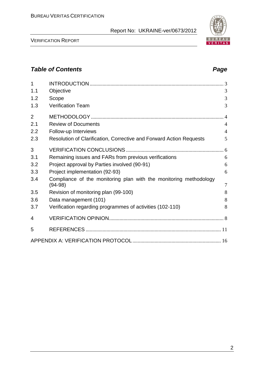| 1              |                                                                                |                |
|----------------|--------------------------------------------------------------------------------|----------------|
| 1.1            | Objective                                                                      | 3              |
| 1.2            | Scope                                                                          | 3              |
| 1.3            | <b>Verification Team</b>                                                       | 3              |
| $\overline{2}$ |                                                                                |                |
| 2.1            | <b>Review of Documents</b>                                                     | $\overline{4}$ |
| 2.2            | Follow-up Interviews                                                           | $\overline{4}$ |
| 2.3            | Resolution of Clarification, Corrective and Forward Action Requests            | 5              |
| 3              |                                                                                |                |
| 3.1            | Remaining issues and FARs from previous verifications                          | 6              |
| 3.2            | Project approval by Parties involved (90-91)                                   | 6              |
| 3.3            | Project implementation (92-93)                                                 | 6              |
| 3.4            | Compliance of the monitoring plan with the monitoring methodology<br>$(94-98)$ | $\overline{7}$ |
| 3.5            | Revision of monitoring plan (99-100)                                           | 8              |
| 3.6            | Data management (101)                                                          | 8              |
| 3.7            | Verification regarding programmes of activities (102-110)                      | 8              |
| 4              |                                                                                |                |
| 5              |                                                                                |                |
|                |                                                                                |                |

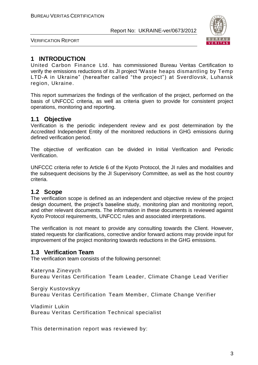

VERIFICATION REPORT

#### **1 INTRODUCTION**

United Carbon Finance Ltd. has commissioned Bureau Veritas Certification to verify the emissions reductions of its JI project "Waste heaps dismantling by Temp LTD-A in Ukraine" (hereafter called "the project") at Sverdlovsk, Luhansk region, Ukraine.

This report summarizes the findings of the verification of the project, performed on the basis of UNFCCC criteria, as well as criteria given to provide for consistent project operations, monitoring and reporting.

#### **1.1 Objective**

Verification is the periodic independent review and ex post determination by the Accredited Independent Entity of the monitored reductions in GHG emissions during defined verification period.

The objective of verification can be divided in Initial Verification and Periodic Verification.

UNFCCC criteria refer to Article 6 of the Kyoto Protocol, the JI rules and modalities and the subsequent decisions by the JI Supervisory Committee, as well as the host country criteria.

#### **1.2 Scope**

The verification scope is defined as an independent and objective review of the project design document, the project's baseline study, monitoring plan and monitoring report, and other relevant documents. The information in these documents is reviewed against Kyoto Protocol requirements, UNFCCC rules and associated interpretations.

The verification is not meant to provide any consulting towards the Client. However, stated requests for clarifications, corrective and/or forward actions may provide input for improvement of the project monitoring towards reductions in the GHG emissions.

#### **1.3 Verification Team**

The verification team consists of the following personnel:

Kateryna Zinevych

Bureau Veritas Certification Team Leader, Climate Change Lead Verifier

Sergiy Kustovskyy

Bureau Veritas Certification Team Member, Climate Change Verifier

Vladimir Lukin Bureau Veritas Certification Technical specialist

This determination report was reviewed by: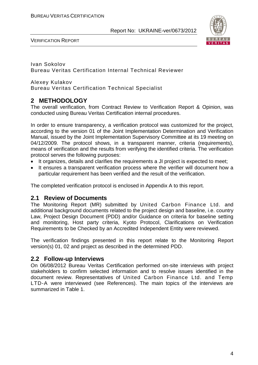

VERIFICATION REPORT

Ivan Sokolov Bureau Veritas Certification Internal Technical Reviewer

Alexey Kulakov Bureau Veritas Certification Technical Specialist

#### **2 METHODOLOGY**

The overall verification, from Contract Review to Verification Report & Opinion, was conducted using Bureau Veritas Certification internal procedures.

In order to ensure transparency, a verification protocol was customized for the project, according to the version 01 of the Joint Implementation Determination and Verification Manual, issued by the Joint Implementation Supervisory Committee at its 19 meeting on 04/12/2009. The protocol shows, in a transparent manner, criteria (requirements), means of verification and the results from verifying the identified criteria. The verification protocol serves the following purposes:

- It organizes, details and clarifies the requirements a JI project is expected to meet;
- It ensures a transparent verification process where the verifier will document how a particular requirement has been verified and the result of the verification.

The completed verification protocol is enclosed in Appendix A to this report.

#### **2.1 Review of Documents**

The Monitoring Report (MR) submitted by United Carbon Finance Ltd. and additional background documents related to the project design and baseline, i.e. country Law, Project Design Document (PDD) and/or Guidance on criteria for baseline setting and monitoring, Host party criteria, Kyoto Protocol, Clarifications on Verification Requirements to be Checked by an Accredited Independent Entity were reviewed.

The verification findings presented in this report relate to the Monitoring Report version(s) 01, 02 and project as described in the determined PDD.

#### **2.2 Follow-up Interviews**

On 06/08/2012 Bureau Veritas Certification performed on-site interviews with project stakeholders to confirm selected information and to resolve issues identified in the document review. Representatives of United Carbon Finance Ltd. and Temp LTD-A were interviewed (see References). The main topics of the interviews are summarized in Table 1.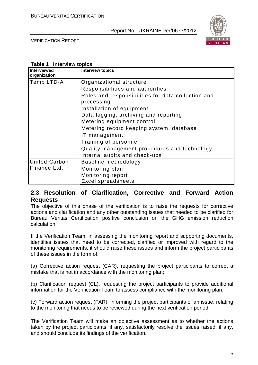

VERIFICATION REPORT

#### **Table 1 Interview topics**

| Interviewed<br>organization | <b>Interview topics</b>                                          |
|-----------------------------|------------------------------------------------------------------|
| Temp LTD-A                  | Organizational structure                                         |
|                             | Responsibilities and authorities                                 |
|                             | Roles and responsibilities for data collection and<br>processing |
|                             | Installation of equipment                                        |
|                             | Data logging, archiving and reporting                            |
|                             | Metering equipment control                                       |
|                             | Metering record keeping system, database                         |
|                             | IT management                                                    |
|                             | Training of personnel                                            |
|                             | Quality management procedures and technology                     |
|                             | Internal audits and check-ups                                    |
| <b>United Carbon</b>        | Baseline methodology                                             |
| Finance Ltd.                | Monitoring plan                                                  |
|                             | Monitoring report                                                |
|                             | <b>Excel spreadsheets</b>                                        |

#### **2.3 Resolution of Clarification, Corrective and Forward Action Requests**

The objective of this phase of the verification is to raise the requests for corrective actions and clarification and any other outstanding issues that needed to be clarified for Bureau Veritas Certification positive conclusion on the GHG emission reduction calculation.

If the Verification Team, in assessing the monitoring report and supporting documents, identifies issues that need to be corrected, clarified or improved with regard to the monitoring requirements, it should raise these issues and inform the project participants of these issues in the form of:

(a) Corrective action request (CAR), requesting the project participants to correct a mistake that is not in accordance with the monitoring plan;

(b) Clarification request (CL), requesting the project participants to provide additional information for the Verification Team to assess compliance with the monitoring plan;

(c) Forward action request (FAR), informing the project participants of an issue, relating to the monitoring that needs to be reviewed during the next verification period.

The Verification Team will make an objective assessment as to whether the actions taken by the project participants, if any, satisfactorily resolve the issues raised, if any, and should conclude its findings of the verification.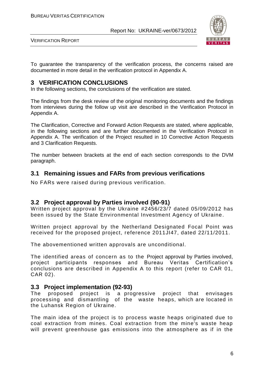

VERIFICATION REPORT

To guarantee the transparency of the verification process, the concerns raised are documented in more detail in the verification protocol in Appendix A.

#### **3 VERIFICATION CONCLUSIONS**

In the following sections, the conclusions of the verification are stated.

The findings from the desk review of the original monitoring documents and the findings from interviews during the follow up visit are described in the Verification Protocol in Appendix A.

The Clarification, Corrective and Forward Action Requests are stated, where applicable, in the following sections and are further documented in the Verification Protocol in Appendix A. The verification of the Project resulted in 10 Corrective Action Requests and 3 Clarification Requests.

The number between brackets at the end of each section corresponds to the DVM paragraph.

#### **3.1 Remaining issues and FARs from previous verifications**

No FARs were raised during previous verification.

#### **3.2 Project approval by Parties involved (90-91)**

Written project approval by the Ukraine #2456/23/7 dated 05/09/2012 has been issued by the State Environmental Investment Agency of Ukraine.

Written project approval by the Netherland Designated Focal Point was received for the proposed project, reference 2011JI47, dated 22/11/2011.

The abovementioned written approvals are unconditional.

The identified areas of concern as to the Project approval by Parties involved, project participants responses and Bureau Veritas Certification's conclusions are described in Appendix A to this report (refer to CAR 01, CAR 02).

#### **3.3 Project implementation (92-93)**

The proposed project is a progressive project that envisages processing and dismantling of the waste heaps, which are located in the Luhansk Region of Ukraine.

The main idea of the project is to process waste heaps originated due to coal extraction from mines. Coal extraction from the mine's waste heap will prevent greenhouse gas emissions into the atmosphere as if in the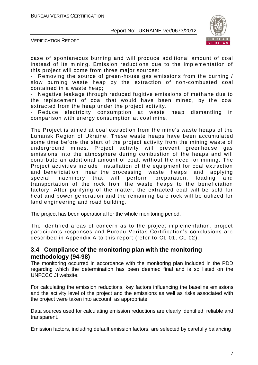

VERIFICATION REPORT

case of spontaneous burning and will produce additional amount of coal instead of its mining. Emission reductions due to the implementation of this project will come from three major sources:

Removing the source of green-house gas emissions from the burning / slow burning waste heap by the extraction of non-combusted coal contained in a waste heap;

Negative leakage through reduced fugitive emissions of methane due to the replacement of coal that would have been mined, by the coal extracted from the heap under the project activity.

Reduce electricity consumption at waste heap dismantling in comparison with energy consumption at coal mine.

The Project is aimed at coal extraction from the mine's waste heaps of the Luhansk Region of Ukraine. These waste heaps have been accumulated some time before the start of the project activity from the mining waste of underground mines. Project activity will prevent greenhouse gas emissions into the atmosphere during combustion of the heaps and will contribute an additional amount of coal, without the need for mining. The Project activities include installation of the equipment for coal extraction and beneficiation near the processing waste heaps and applying special machinery that will perform preparation, loading and transportation of the rock from the waste heaps to the beneficiation factory. After purifying of the matter, the extracted coal will be sold for heat and power generation and the remaining bare rock will be utilized for land engineering and road building.

The project has been operational for the whole monitoring period.

The identified areas of concern as to the project implementation, project participants responses and Bureau Veritas Certification's conclusions are described in Appendix A to this report (refer to CL 01, CL 02).

#### **3.4 Compliance of the monitoring plan with the monitoring methodology (94-98)**

The monitoring occurred in accordance with the monitoring plan included in the PDD regarding which the determination has been deemed final and is so listed on the UNFCCC JI website.

For calculating the emission reductions, key factors influencing the baseline emissions and the activity level of the project and the emissions as well as risks associated with the project were taken into account, as appropriate.

Data sources used for calculating emission reductions are clearly identified, reliable and transparent.

Emission factors, including default emission factors, are selected by carefully balancing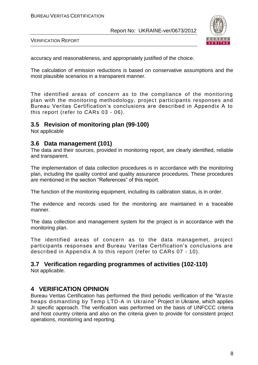

VERIFICATION REPORT

accuracy and reasonableness, and appropriately justified of the choice.

The calculation of emission reductions is based on conservative assumptions and the most plausible scenarios in a transparent manner.

The identified areas of concern as to the compliance of the monitoring plan with the monitoring methodology, project participants responses and Bureau Veritas Certification's conclusions are described in Appendix A to this report (refer to CARs 03 - 06).

#### **3.5 Revision of monitoring plan (99-100)**

Not applicable

#### **3.6 Data management (101)**

The data and their sources, provided in monitoring report, are clearly identified, reliable and transparent.

The implementation of data collection procedures is in accordance with the monitoring plan, including the quality control and quality assurance procedures. These procedures are mentioned in the section "References" of this report.

The function of the monitoring equipment, including its calibration status, is in order.

The evidence and records used for the monitoring are maintained in a traceable manner.

The data collection and management system for the project is in accordance with the monitoring plan.

The identified areas of concern as to the data managemet, project participants responses and Bureau Veritas Certification's conclusions are described in Appendix A to this report (refer to CARs 07 - 10).

### **3.7 Verification regarding programmes of activities (102-110)**

Not applicable.

#### **4 VERIFICATION OPINION**

Bureau Veritas Certification has performed the third periodic verification of the "Waste heaps dismantling by Temp LTD-A in Ukraine" Project in Ukraine, which applies JI specific approach. The verification was performed on the basis of UNFCCC criteria and host country criteria and also on the criteria given to provide for consistent project operations, monitoring and reporting.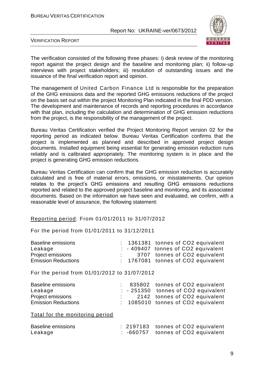

VERIFICATION REPORT

The verification consisted of the following three phases: i) desk review of the monitoring report against the project design and the baseline and monitoring plan; ii) follow-up interviews with project stakeholders; iii) resolution of outstanding issues and the issuance of the final verification report and opinion.

The management of United Carbon Finance Ltd is responsible for the preparation of the GHG emissions data and the reported GHG emissions reductions of the project on the basis set out within the project Monitoring Plan indicated in the final PDD version. The development and maintenance of records and reporting procedures in accordance with that plan, including the calculation and determination of GHG emission reductions from the project, is the responsibility of the management of the project.

Bureau Veritas Certification verified the Project Monitoring Report version 02 for the reporting period as indicated below. Bureau Veritas Certification confirms that the project is implemented as planned and described in approved project design documents. Installed equipment being essential for generating emission reduction runs reliably and is calibrated appropriately. The monitoring system is in place and the project is generating GHG emission reductions.

Bureau Veritas Certification can confirm that the GHG emission reduction is accurately calculated and is free of material errors, omissions, or misstatements. Our opinion relates to the project's GHG emissions and resulting GHG emissions reductions reported and related to the approved project baseline and monitoring, and its associated documents. Based on the information we have seen and evaluated, we confirm, with a reasonable level of assurance, the following statement:

#### Reporting period: From 01/01/2011 to 31/07/2012

For the period from 01/01/2011 to 31/12/2011

| Baseline emissions         |  | $: 1361381$ tonnes of CO2 equivalent |
|----------------------------|--|--------------------------------------|
| Leakage                    |  | - 409407 tonnes of CO2 equivalent    |
| Project emissions          |  | 3707 tonnes of CO2 equivalent        |
| <b>Emission Reductions</b> |  | $: 1767081$ tonnes of CO2 equivalent |

For the period from 01/01/2012 to 31/07/2012

| <b>Baseline emissions</b>  |  | : 835802 tonnes of CO2 equivalent    |
|----------------------------|--|--------------------------------------|
| Leakage                    |  | $: -251350$ tonnes of CO2 equivalent |
| <b>Project emissions</b>   |  | 2142 tonnes of CO2 equivalent        |
| <b>Emission Reductions</b> |  | $: 1085010$ tonnes of CO2 equivalent |

Total for the monitoring period

| <b>Baseline emissions</b> |  | : 2197183 tonnes of CO2 equivalent |
|---------------------------|--|------------------------------------|
| Leakage                   |  | : -660757 tonnes of CO2 equivalent |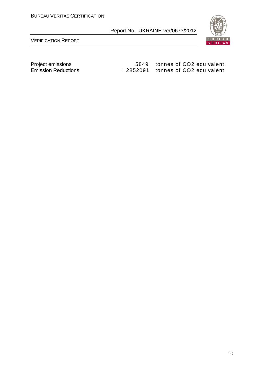

| Project emissions          |  | 5849 tonnes of CO2 equivalent      |
|----------------------------|--|------------------------------------|
| <b>Emission Reductions</b> |  | : 2852091 tonnes of CO2 equivalent |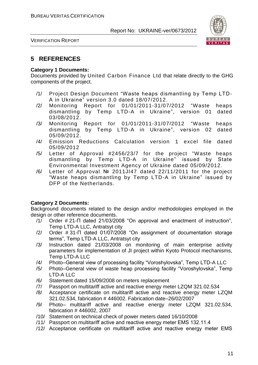

VERIFICATION REPORT

#### **5 REFERENCES**

#### **Category 1 Documents:**

Documents provided by United Carbon Finance Ltd that relate directly to the GHG components of the project.

- /1/ Project Design Document "Waste heaps dismantling by Temp LTD-A in Ukraine" version 3.0 dated 18/07/2012.
- /2/ Monitoring Report for 01/01/2011-31/07/2012 "Waste heaps dismantling by Temp LTD-A in Ukraine", version 01 dated 03/08/2012.
- /3/ Monitoring Report for 01/01/2011-31/07/2012 "Waste heaps dismantling by Temp LTD-A in Ukraine", version 02 dated 05/09/2012.
- /4/ Emission Reductions Calculation version 1 excel file dated 05/09/2012
- /5/ Letter of Approval #2456/23/7 for the project "Waste heaps dismantling by Temp LTD-A in Ukraine" issued by State Environmental Investment Agency of Ukraine dated 05/09/2012.
- /6/ Letter of Approval № 2011JI47 dated 22/11/2011 for the project "Waste heaps dismantling by Temp LTD-A in Ukraine" issued by DFP of the Netherlands.

#### **Category 2 Documents:**

Background documents related to the design and/or methodologies employed in the design or other reference documents.

- /1/ Order # 21-П dated 21/03/2008 "On approval and enactment of instruction", Temp LTD-A LLC, Antratsyt city
- /2/ Order # 31-П dated 01/07/2008 "On assignment of documentation storage terms", Temp LTD-A LLC, Antratsyt city
- /3/ Instruction dated 21/03/2008 on monitoring of main enterprise activity parameters for implementation of JI project within Kyoto Protocol mechanisms, Temp LTD-A LLC
- /4/ Photo–General view of processing facility "Voroshylovska", Temp LTD-A LLC
- /5/ Photo–General view of waste heap processing facility "Voroshylovska", Temp LTD-A LLC
- /6/ Statement dated 15/09/2008 on meters replacement
- /7/ Passport on multitariff active and reactive energy meter LZQM 321.02.534
- /8/ Acceptance certificate on multitariff active and reactive energy meter LZQM 321.02.534, fabrication # 446002. Fabrication date–26/02/2007
- /9/ Photo– multitariff active and reactive energy meter LZQM 321.02.534, fabrication # 446002, 2007
- /10/ Statement on technical check of power meters dated 16/10/2008
- /11/ Passport on multitariff active and reactive energy meter ЕМS 132.11.4
- /12/ Acceptance certificate on multitariff active and reactive energy meter ЕМS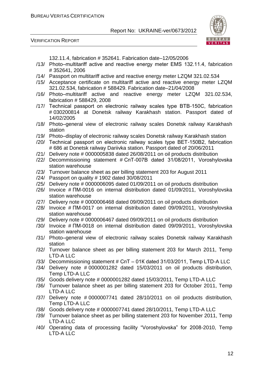VERIFICATION REPORT



132.11.4, fabrication # 352641. Fabrication date–12/05/2006

- /13/ Photo–multitariff active and reactive energy meter ЕМS 132.11.4, fabrication # 352641, 2006
- /14/ Passport on multitariff active and reactive energy meter LZQM 321.02.534
- /15/ Acceptance certificate on multitariff active and reactive energy meter LZQM 321.02.534, fabrication # 588429. Fabrication date–21/04/2008
- /16/ Photo–multitariff active and reactive energy meter LZQM 321.02.534, fabrication # 588429, 2008
- /17/ Technical passport on electronic railway scales type ВТВ-150С, fabrication # 030200814 at Donetsk railway Karakhash station. Passport dated of 14/02/2005
- /18/ Photo–general view of electronic railway scales Donetsk railway Karakhash station
- /19/ Photo–display of electronic railway scales Donetsk railway Karakhash station
- /20/ Technical passport on electronic railway scales type ВЕТ-150В2, fabrication # 686 at Donetsk railway Dariivka station. Passport dated of 20/06/2011
- /21/ Delivery note # 0000005838 dated 26/08/2011 on oil products distribution
- /22/ Decommissioning statement # СпТ-007В dated 31/08/2011, Voroshylovska station warehouse
- /23/ Turnover balance sheet as per billing statement 203 for August 2011
- /24/ Passport on quality # 1902 dated 30/08/2011
- /25/ Delivery note # 0000006095 dated 01/09/2011 on oil products distribution
- /26/ Invoice # ПМ-0016 on internal distribution dated 01/09/2011, Voroshylovska station warehouse
- /27/ Delivery note # 0000006468 dated 09/09/2011 on oil products distribution
- /28/ Invoice # ПМ-0017 on internal distribution dated 09/09/2011, Voroshylovska station warehouse
- /29/ Delivery note # 0000006467 dated 09/09/2011 on oil products distribution
- /30/ Invoice # ПМ-0018 on internal distribution dated 09/09/2011, Voroshylovska station warehouse
- /31/ Photo–general view of electronic railway scales Donetsk railway Karakhash station
- /32/ Turnover balance sheet as per billing statement 203 for March 2011, Temp LTD-A LLC
- /33/ Decommissioning statement # СпТ 01К dated 31/03/2011, Temp LTD-A LLC
- /34/ Delivery note # 0000001282 dated 15/03/2011 on oil products distribution, Temp LTD-A LLC
- /35/ Goods delivery note # 0000001282 dated 15/03/2011, Temp LTD-A LLC
- /36/ Turnover balance sheet as per billing statement 203 for October 2011, Temp LTD-A LLC
- /37/ Delivery note # 0000007741 dated 28/10/2011 on oil products distribution, Temp LTD-A LLC
- /38/ Goods delivery note # 0000007741 dated 28/10/2011, Temp LTD-A LLC
- /39/ Turnover balance sheet as per billing statement 203 for November 2011, Temp LTD-A LLC
- /40/ Operating data of processing facility "Voroshylovska" for 2008-2010, Temp LTD-A LLC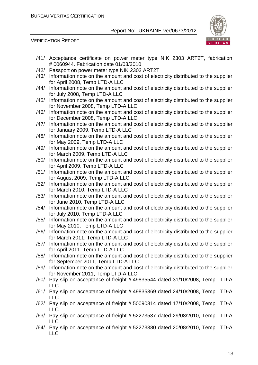

| /41/ | Acceptance certificate on power meter type NIK 2303 ART2T, fabrication<br># 0060944. Fabrication date 01/03/2010        |
|------|-------------------------------------------------------------------------------------------------------------------------|
| /42/ | Passport on power meter type NIK 2303 ART2T                                                                             |
| /43/ | Information note on the amount and cost of electricity distributed to the supplier                                      |
|      | for April 2008, Temp LTD-A LLC                                                                                          |
| /44/ | Information note on the amount and cost of electricity distributed to the supplier                                      |
|      | for July 2008, Temp LTD-A LLC                                                                                           |
| /45/ | Information note on the amount and cost of electricity distributed to the supplier                                      |
|      | for November 2008, Temp LTD-A LLC                                                                                       |
| /46/ | Information note on the amount and cost of electricity distributed to the supplier                                      |
|      | for December 2008, Temp LTD-A LLC                                                                                       |
| /47/ | Information note on the amount and cost of electricity distributed to the supplier                                      |
|      | for January 2009, Temp LTD-A LLC                                                                                        |
| /48/ | Information note on the amount and cost of electricity distributed to the supplier                                      |
|      | for May 2009, Temp LTD-A LLC                                                                                            |
| /49/ | Information note on the amount and cost of electricity distributed to the supplier                                      |
|      | for March 2009, Temp LTD-A LLC                                                                                          |
| /50/ | Information note on the amount and cost of electricity distributed to the supplier<br>for April 2009, Temp LTD-A LLC    |
| /51/ | Information note on the amount and cost of electricity distributed to the supplier                                      |
|      | for August 2009, Temp LTD-A LLC                                                                                         |
| /52/ | Information note on the amount and cost of electricity distributed to the supplier                                      |
|      | for March 2010, Temp LTD-A LLC                                                                                          |
| /53/ | Information note on the amount and cost of electricity distributed to the supplier                                      |
|      | for June 2010, Temp LTD-A LLC                                                                                           |
| /54/ | Information note on the amount and cost of electricity distributed to the supplier                                      |
|      | for July 2010, Temp LTD-A LLC                                                                                           |
| /55/ | Information note on the amount and cost of electricity distributed to the supplier                                      |
|      | for May 2010, Temp LTD-A LLC                                                                                            |
| /56/ | Information note on the amount and cost of electricity distributed to the supplier                                      |
|      | for March 2011, Temp LTD-A LLC                                                                                          |
| /57/ | Information note on the amount and cost of electricity distributed to the supplier                                      |
|      | for April 2011, Temp LTD-A LLC                                                                                          |
| /58/ | Information note on the amount and cost of electricity distributed to the supplier                                      |
|      | for September 2011, Temp LTD-A LLC                                                                                      |
| /59/ | Information note on the amount and cost of electricity distributed to the supplier<br>for November 2011, Temp LTD-A LLC |
| /60/ | Pay slip on acceptance of freight #49835544 dated 31/10/2008, Temp LTD-A                                                |
|      | <b>LLC</b>                                                                                                              |
| /61/ | Pay slip on acceptance of freight #49835369 dated 24/10/2008, Temp LTD-A                                                |
|      | <b>LLC</b>                                                                                                              |
| /62/ | Pay slip on acceptance of freight #50090314 dated 17/10/2008, Temp LTD-A                                                |
|      | <b>LLC</b>                                                                                                              |
| /63/ | Pay slip on acceptance of freight # 52273537 dated 29/08/2010, Temp LTD-A                                               |
|      | <b>LLC</b>                                                                                                              |
| /64/ | Pay slip on acceptance of freight #52273380 dated 20/08/2010, Temp LTD-A                                                |
|      | <b>LLC</b>                                                                                                              |
|      |                                                                                                                         |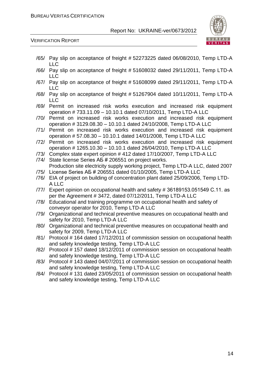

- /65/ Pay slip on acceptance of freight # 52273225 dated 06/08/2010, Temp LTD-A LLC
- /66/ Pay slip on acceptance of freight # 51608032 dated 29/11/2011, Temp LTD-A LLC
- /67/ Pay slip on acceptance of freight # 51608099 dated 29/11/2011, Temp LTD-A LLC
- /68/ Pay slip on acceptance of freight # 51267904 dated 10/11/2011, Temp LTD-A LLC
- /69/ Permit on increased risk works execution and increased risk equipment operation # 733.11.09 – 10.10.1 dated 07/10/2011, Temp LTD-A LLC
- /70/ Permit on increased risk works execution and increased risk equipment operation # 3129.08.30 – 10.10.1 dated 24/10/2008, Temp LTD-A LLC
- /71/ Permit on increased risk works execution and increased risk equipment operation # 57.08.30 – 10.10.1 dated 14/01/2008, Temp LTD-A LLC
- /72/ Permit on increased risk works execution and increased risk equipment operation # 1265.10.30 – 10.10.1 dated 26/04/2010, Temp LTD-A LLC
- /73/ Complex state expert opinion # 412 dated 17/10/2007, Temp LTD-A LLC
- /74/ State license Series АБ # 206551 on project works. Production site electricity supply working project, Temp LTD-A LLC, dated 2007
- /75/ License Series АБ # 206551 dated 01/10/2005, Temp LTD-A LLC
- /76/ EIA of project on building of concentration plant dated 25/09/2006, Temp LTD-A LLC
- /77/ Expert opinion on occupational health and safety # 36189153.051549 С.11. as per the Agreement # 3472, dated 07/12/2011, Temp LTD-A LLC
- /78/ Educational and training programme on occupational health and safety of conveyor operator for 2010, Temp LTD-A LLC
- /79/ Organizational and technical preventive measures on occupational health and safety for 2010, Temp LTD-A LLC
- /80/ Organizational and technical preventive measures on occupational health and safety for 2009, Temp LTD-A LLC
- /81/ Protocol # 164 dated 17/12/2011 of commission session on occupational health and safety knowledge testing, Temp LTD-A LLC
- /82/ Protocol # 157 dated 18/12/2011 of commission session on occupational health and safety knowledge testing, Temp LTD-A LLC
- /83/ Protocol # 143 dated 04/07/2011 of commission session on occupational health and safety knowledge testing, Temp LTD-A LLC
- /84/ Protocol # 131 dated 23/05/2011 of commission session on occupational health and safety knowledge testing, Temp LTD-A LLC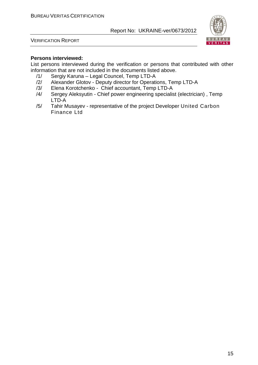



#### **Persons interviewed:**

List persons interviewed during the verification or persons that contributed with other information that are not included in the documents listed above.

- /1/ Sergiy Karuna Legal Councel, Temp LTD-A
- /2/ Alexander Glotov Deputy director for Operations, Temp LTD-A<br>/3/ Elena Korotchenko Chief accountant, Temp LTD-A
- /3/ Elena Korotchenko Chief accountant, Temp LTD-A
- /4/ Sergey Aleksyutin Chief power engineering specialist (electrician) , Temp LTD-A
- /5/ Tahir Musayev representative of the project Developer United Carbon Finance Ltd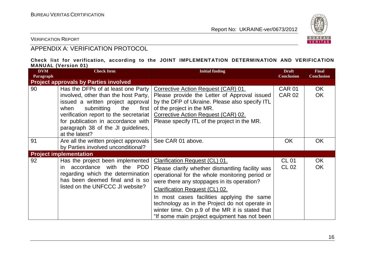

VERIFICATION REPORT

#### APPENDIX A: VERIFICATION PROTOCOL

#### **Check list for verification, according to the JOINT IMPLEMENTATION DETERMINATION AND VERIFICATION MANUAL (Version 01)**

| <b>DVM</b><br>Paragraph | <b>Check Item</b>                                                                                                                                                                                                                                                                             | <b>Initial finding</b>                                                                                                                                                                                                                                                                                                                                                                                                        | <b>Draft</b><br><b>Conclusion</b> | <b>Final</b><br><b>Conclusion</b> |
|-------------------------|-----------------------------------------------------------------------------------------------------------------------------------------------------------------------------------------------------------------------------------------------------------------------------------------------|-------------------------------------------------------------------------------------------------------------------------------------------------------------------------------------------------------------------------------------------------------------------------------------------------------------------------------------------------------------------------------------------------------------------------------|-----------------------------------|-----------------------------------|
|                         | <b>Project approvals by Parties involved</b>                                                                                                                                                                                                                                                  |                                                                                                                                                                                                                                                                                                                                                                                                                               |                                   |                                   |
| 90                      | Has the DFPs of at least one Party<br>involved, other than the host Party,<br>issued a written project approval<br>submitting<br>when<br>the<br>first<br>verification report to the secretariat<br>for publication in accordance with<br>paragraph 38 of the JI guidelines,<br>at the latest? | Corrective Action Request (CAR) 01.<br>Please provide the Letter of Approval issued<br>by the DFP of Ukraine. Please also specify ITL<br>of the project in the MR.<br>Corrective Action Request (CAR) 02.<br>Please specify ITL of the project in the MR.                                                                                                                                                                     | <b>CAR 01</b><br><b>CAR 02</b>    | OK.<br><b>OK</b>                  |
| 91                      | Are all the written project approvals<br>by Parties involved unconditional?                                                                                                                                                                                                                   | See CAR 01 above.                                                                                                                                                                                                                                                                                                                                                                                                             | <b>OK</b>                         | <b>OK</b>                         |
|                         | <b>Project implementation</b>                                                                                                                                                                                                                                                                 |                                                                                                                                                                                                                                                                                                                                                                                                                               |                                   |                                   |
| 92                      | Has the project been implemented<br>accordance with the PDD<br>in.<br>regarding which the determination<br>has been deemed final and is so<br>listed on the UNFCCC JI website?                                                                                                                | Clarification Request (CL) 01.<br>Please clarify whether dismantling facility was<br>operational for the whole monitoring period or<br>were there any stoppages in its operation?<br><b>Clarification Request (CL) 02.</b><br>In most cases facilities applying the same<br>technology as in the Project do not operate in<br>winter time. On p.9 of the MR it is stated that<br>"If some main project equipment has not been | <b>CL 01</b><br><b>CL 02</b>      | <b>OK</b><br><b>OK</b>            |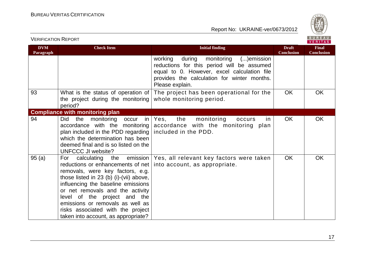

| <b>DVM</b><br>Paragraph | <b>Check Item</b>                                                                                                                                                                                                                                                                                                                                                | <b>Initial finding</b>                                                                                                                                                                                 | <b>Draft</b><br><b>Conclusion</b> | <b>Final</b><br><b>Conclusion</b> |
|-------------------------|------------------------------------------------------------------------------------------------------------------------------------------------------------------------------------------------------------------------------------------------------------------------------------------------------------------------------------------------------------------|--------------------------------------------------------------------------------------------------------------------------------------------------------------------------------------------------------|-----------------------------------|-----------------------------------|
|                         |                                                                                                                                                                                                                                                                                                                                                                  | during monitoring ()emission<br>working<br>reductions for this period will be assumed<br>equal to 0. However, excel calculation file<br>provides the calculation for winter months.<br>Please explain. |                                   |                                   |
| 93                      | What is the status of operation of<br>the project during the monitoring<br>period?                                                                                                                                                                                                                                                                               | The project has been operational for the<br>whole monitoring period.                                                                                                                                   | <b>OK</b>                         | <b>OK</b>                         |
|                         | <b>Compliance with monitoring plan</b>                                                                                                                                                                                                                                                                                                                           |                                                                                                                                                                                                        |                                   |                                   |
| 94                      | Did the<br>monitoring occur<br>plan included in the PDD regarding   included in the PDD.<br>which the determination has been<br>deemed final and is so listed on the<br>UNFCCC JI website?                                                                                                                                                                       | in   Yes, the<br>monitoring<br>occurs<br>in.<br>accordance with the monitoring accordance with the monitoring plan                                                                                     | <b>OK</b>                         | <b>OK</b>                         |
| 95(a)                   | calculating<br>For<br>reductions or enhancements of net<br>removals, were key factors, e.g.<br>those listed in 23 (b) (i)-(vii) above,<br>influencing the baseline emissions<br>or net removals and the activity<br>level of the project and the<br>emissions or removals as well as<br>risks associated with the project<br>taken into account, as appropriate? | the emission   Yes, all relevant key factors were taken<br>into account, as appropriate.                                                                                                               | <b>OK</b>                         | <b>OK</b>                         |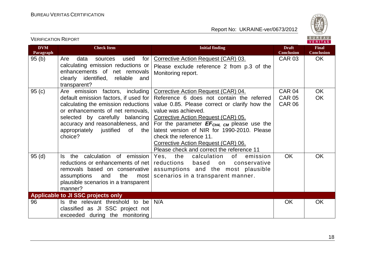

| <b>DVM</b><br>Paragraph | <b>Check Item</b>                                                                                                                                                                                                                                                             | <b>Initial finding</b>                                                                                                                                                                                                                                                                                                                                                                                           | <b>Draft</b><br><b>Conclusion</b>        | <b>Final</b><br><b>Conclusion</b> |
|-------------------------|-------------------------------------------------------------------------------------------------------------------------------------------------------------------------------------------------------------------------------------------------------------------------------|------------------------------------------------------------------------------------------------------------------------------------------------------------------------------------------------------------------------------------------------------------------------------------------------------------------------------------------------------------------------------------------------------------------|------------------------------------------|-----------------------------------|
| 95(b)                   | Are<br>data<br>for<br>used<br>sources<br>calculating emission reductions or<br>enhancements of net removals<br>clearly identified, reliable<br>and<br>transparent?                                                                                                            | Corrective Action Request (CAR) 03.<br>Please exclude reference 2 from p.3 of the<br>Monitoring report.                                                                                                                                                                                                                                                                                                          | <b>CAR 03</b>                            | <b>OK</b>                         |
| 95(c)                   | Are emission factors, including<br>default emission factors, if used for<br>calculating the emission reductions<br>or enhancements of net removals,<br>selected by carefully balancing<br>accuracy and reasonableness, and<br>appropriately justified<br>of<br>the<br>choice? | Corrective Action Request (CAR) 04.<br>Reference 6 does not contain the referred<br>value 0.85. Please correct or clarify how the<br>value was achieved.<br>Corrective Action Request (CAR) 05.<br>For the parameter $EF_{CH4, CM}$ please use the<br>latest version of NIR for 1990-2010. Please<br>check the reference 11.<br>Corrective Action Request (CAR) 06.<br>Please check and correct the reference 11 | CAR 04<br><b>CAR 05</b><br><b>CAR 06</b> | <b>OK</b><br><b>OK</b>            |
| 95(d)                   | the calculation of emission<br>ls.<br>reductions or enhancements of net<br>removals based on conservative<br>assumptions<br>the<br>and<br>most<br>plausible scenarios in a transparent<br>manner?                                                                             | Yes, the<br>calculation<br>of<br>emission<br>reductions<br>based<br>on<br>conservative<br>assumptions and the most plausible<br>scenarios in a transparent manner.                                                                                                                                                                                                                                               | <b>OK</b>                                | <b>OK</b>                         |
|                         | Applicable to JI SSC projects only                                                                                                                                                                                                                                            |                                                                                                                                                                                                                                                                                                                                                                                                                  |                                          |                                   |
| 96                      | Is the relevant threshold to be<br>classified as JI SSC project not<br>exceeded during the monitoring                                                                                                                                                                         | N/A                                                                                                                                                                                                                                                                                                                                                                                                              | <b>OK</b>                                | <b>OK</b>                         |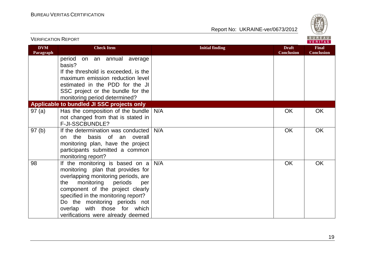

| <b>VERIFICATION REPORT</b> |                                                                                            |                        |                                   | BUREAU<br><b>VERITAS</b>          |
|----------------------------|--------------------------------------------------------------------------------------------|------------------------|-----------------------------------|-----------------------------------|
| <b>DVM</b><br>Paragraph    | <b>Check Item</b>                                                                          | <b>Initial finding</b> | <b>Draft</b><br><b>Conclusion</b> | <b>Final</b><br><b>Conclusion</b> |
|                            | period<br>on an annual average<br>basis?                                                   |                        |                                   |                                   |
|                            | If the threshold is exceeded, is the<br>maximum emission reduction level                   |                        |                                   |                                   |
|                            | estimated in the PDD for the JI                                                            |                        |                                   |                                   |
|                            | SSC project or the bundle for the<br>monitoring period determined?                         |                        |                                   |                                   |
|                            | Applicable to bundled JI SSC projects only                                                 |                        |                                   |                                   |
| 97(a)                      | Has the composition of the bundle<br>not changed from that is stated in<br>F-JI-SSCBUNDLE? | N/A                    | OK                                | <b>OK</b>                         |
| 97(b)                      | If the determination was conducted                                                         | N/A                    | OK                                | OK                                |
|                            | the basis of an overall<br>on                                                              |                        |                                   |                                   |
|                            | monitoring plan, have the project                                                          |                        |                                   |                                   |
|                            | participants submitted a common<br>monitoring report?                                      |                        |                                   |                                   |
| 98                         | If the monitoring is based on a<br>monitoring plan that provides for                       | N/A                    | OK                                | OK                                |
|                            | overlapping monitoring periods, are                                                        |                        |                                   |                                   |
|                            | monitoring<br>periods<br>the<br>per                                                        |                        |                                   |                                   |
|                            | component of the project clearly                                                           |                        |                                   |                                   |
|                            | specified in the monitoring report?<br>Do the monitoring periods not                       |                        |                                   |                                   |
|                            | overlap with those for which                                                               |                        |                                   |                                   |
|                            | verifications were already deemed                                                          |                        |                                   |                                   |

19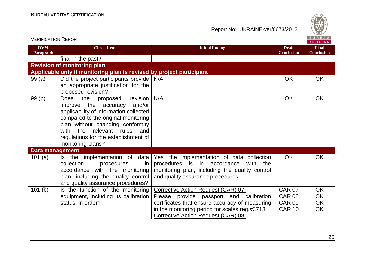

| VERIFICATION INEPURT<br>VERITAS |                                                                                                                                                                                                                                                                                                        |                                                                                                                                                                              |                                   |                                   |
|---------------------------------|--------------------------------------------------------------------------------------------------------------------------------------------------------------------------------------------------------------------------------------------------------------------------------------------------------|------------------------------------------------------------------------------------------------------------------------------------------------------------------------------|-----------------------------------|-----------------------------------|
| <b>DVM</b><br>Paragraph         | <b>Check Item</b>                                                                                                                                                                                                                                                                                      | <b>Initial finding</b>                                                                                                                                                       | <b>Draft</b><br><b>Conclusion</b> | <b>Final</b><br><b>Conclusion</b> |
|                                 | final in the past?                                                                                                                                                                                                                                                                                     |                                                                                                                                                                              |                                   |                                   |
|                                 | <b>Revision of monitoring plan</b>                                                                                                                                                                                                                                                                     |                                                                                                                                                                              |                                   |                                   |
|                                 | Applicable only if monitoring plan is revised by project participant                                                                                                                                                                                                                                   |                                                                                                                                                                              |                                   |                                   |
| 99(a)                           | Did the project participants provide $N/A$<br>an appropriate justification for the                                                                                                                                                                                                                     |                                                                                                                                                                              | <b>OK</b>                         | OK                                |
|                                 | proposed revision?                                                                                                                                                                                                                                                                                     |                                                                                                                                                                              |                                   |                                   |
| 99(b)                           | the<br>revision<br><b>Does</b><br>proposed<br>improve the accuracy<br>and/or<br>applicability of information collected<br>compared to the original monitoring<br>plan without changing conformity<br>relevant rules<br>the<br>with<br>and<br>regulations for the establishment of<br>monitoring plans? | N/A                                                                                                                                                                          | <b>OK</b>                         | <b>OK</b>                         |
| <b>Data management</b>          |                                                                                                                                                                                                                                                                                                        |                                                                                                                                                                              |                                   |                                   |
| 101 $(a)$                       | data<br>Is the implementation of<br>collection<br>procedures<br><i>in</i><br>accordance with the monitoring<br>plan, including the quality control<br>and quality assurance procedures?                                                                                                                | Yes, the implementation of data collection<br>procedures is in accordance<br>with the<br>monitoring plan, including the quality control<br>and quality assurance procedures. | OK                                | OK                                |
| 101 <sub>(b)</sub>              | Is the function of the monitoring                                                                                                                                                                                                                                                                      | Corrective Action Request (CAR) 07.                                                                                                                                          | <b>CAR 07</b>                     | OK                                |
|                                 | equipment, including its calibration                                                                                                                                                                                                                                                                   | Please provide passport and calibration                                                                                                                                      | <b>CAR 08</b>                     | OK                                |
|                                 | status, in order?                                                                                                                                                                                                                                                                                      | certificates that ensure accuracy of measuring                                                                                                                               | <b>CAR 09</b>                     | OK                                |
|                                 |                                                                                                                                                                                                                                                                                                        | in the monitoring period for scales reg.#3713.<br>Corrective Action Request (CAR) 08.                                                                                        | <b>CAR 10</b>                     | <b>OK</b>                         |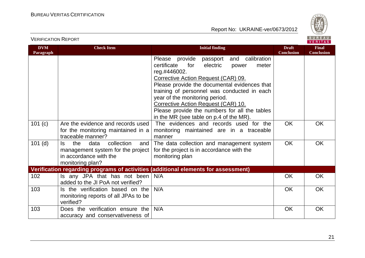

| <b>DVM</b><br>Paragraph | <b>Check Item</b>                                                                                                          | <b>Initial finding</b>                                                                                                                                                                                                                                                                                                                                                                                                       | <b>Draft</b><br><b>Conclusion</b> | <b>Final</b><br><b>Conclusion</b> |
|-------------------------|----------------------------------------------------------------------------------------------------------------------------|------------------------------------------------------------------------------------------------------------------------------------------------------------------------------------------------------------------------------------------------------------------------------------------------------------------------------------------------------------------------------------------------------------------------------|-----------------------------------|-----------------------------------|
|                         |                                                                                                                            | Please provide<br>and calibration<br>passport<br>certificate<br>for<br>electric<br>meter<br>power<br>reg.#446002.<br>Corrective Action Request (CAR) 09.<br>Please provide the documental evidences that<br>training of personnel was conducted in each<br>year of the monitoring period.<br>Corrective Action Request (CAR) 10.<br>Please provide the numbers for all the tables<br>in the MR (see table on p.4 of the MR). |                                   |                                   |
| 101(c)                  | Are the evidence and records used<br>for the monitoring maintained in a<br>traceable manner?                               | The evidences and records used for the<br>monitoring maintained are in a traceable<br>manner                                                                                                                                                                                                                                                                                                                                 | <b>OK</b>                         | <b>OK</b>                         |
| $101$ (d)               | collection<br>the<br>data<br>ls.<br>and<br>management system for the project<br>in accordance with the<br>monitoring plan? | The data collection and management system<br>for the project is in accordance with the<br>monitoring plan                                                                                                                                                                                                                                                                                                                    | <b>OK</b>                         | <b>OK</b>                         |
|                         |                                                                                                                            | Verification regarding programs of activities (additional elements for assessment)                                                                                                                                                                                                                                                                                                                                           |                                   |                                   |
| 102                     | Is any JPA that has not been<br>added to the JI PoA not verified?                                                          | N/A                                                                                                                                                                                                                                                                                                                                                                                                                          | <b>OK</b>                         | <b>OK</b>                         |
| 103                     | Is the verification based on the<br>monitoring reports of all JPAs to be<br>verified?                                      | N/A                                                                                                                                                                                                                                                                                                                                                                                                                          | <b>OK</b>                         | <b>OK</b>                         |
| 103                     | Does the verification ensure the<br>accuracy and conservativeness of                                                       | N/A                                                                                                                                                                                                                                                                                                                                                                                                                          | <b>OK</b>                         | OK                                |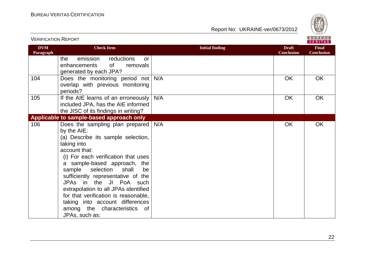VERIFICATION REPORT



| <b>DVM</b><br>Paragraph | <b>Check Item</b>                                                                                                                                                                                                                                                                                                                                                                                                                                                                | <b>Initial finding</b> | <b>Draft</b><br><b>Conclusion</b> | <b>Final</b><br><b>Conclusion</b> |
|-------------------------|----------------------------------------------------------------------------------------------------------------------------------------------------------------------------------------------------------------------------------------------------------------------------------------------------------------------------------------------------------------------------------------------------------------------------------------------------------------------------------|------------------------|-----------------------------------|-----------------------------------|
|                         | reductions<br>emission<br>the<br><b>or</b><br><b>of</b><br>removals<br>enhancements<br>generated by each JPA?                                                                                                                                                                                                                                                                                                                                                                    |                        |                                   |                                   |
| 104                     | Does the monitoring period not N/A<br>overlap with previous monitoring<br>periods?                                                                                                                                                                                                                                                                                                                                                                                               |                        | <b>OK</b>                         | OK                                |
| 105                     | If the AIE learns of an erroneously<br>included JPA, has the AIE informed<br>the JISC of its findings in writing?                                                                                                                                                                                                                                                                                                                                                                | N/A                    | <b>OK</b>                         | <b>OK</b>                         |
|                         | Applicable to sample-based approach only                                                                                                                                                                                                                                                                                                                                                                                                                                         |                        |                                   |                                   |
| 106                     | Does the sampling plan prepared   N/A<br>by the AIE:<br>(a) Describe its sample selection,<br>taking into<br>account that:<br>(i) For each verification that uses<br>a sample-based approach, the<br>sample<br>selection<br>shall<br>be<br>sufficiently representative of the<br>JPAs in the JI PoA such<br>extrapolation to all JPAs identified<br>for that verification is reasonable,<br>taking into account differences<br>among the characteristics<br>0f<br>JPAs, such as: |                        | <b>OK</b>                         | OK                                |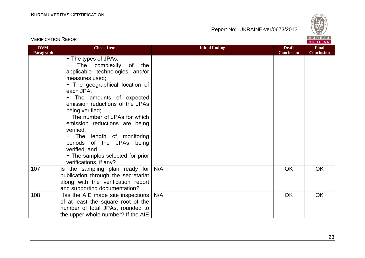

|                         |                                                                                                                                                                                                                                                                                                                                                                                                                                                                                        |                        |                                   | <b>VERIIAS</b>                    |
|-------------------------|----------------------------------------------------------------------------------------------------------------------------------------------------------------------------------------------------------------------------------------------------------------------------------------------------------------------------------------------------------------------------------------------------------------------------------------------------------------------------------------|------------------------|-----------------------------------|-----------------------------------|
| <b>DVM</b><br>Paragraph | <b>Check Item</b>                                                                                                                                                                                                                                                                                                                                                                                                                                                                      | <b>Initial finding</b> | <b>Draft</b><br><b>Conclusion</b> | <b>Final</b><br><b>Conclusion</b> |
|                         | - The types of JPAs;<br>The complexity<br>of<br>the<br>applicable technologies and/or<br>measures used;<br>- The geographical location of<br>each JPA;<br>- The amounts of expected<br>emission reductions of the JPAs<br>being verified;<br>- The number of JPAs for which<br>emission reductions are being<br>verified;<br>The length of monitoring<br>$\qquad \qquad -$<br>periods of the JPAs being<br>verified; and<br>- The samples selected for prior<br>verifications, if any? |                        |                                   |                                   |
| 107                     | Is the sampling plan ready for<br>publication through the secretariat<br>along with the verification report<br>and supporting documentation?                                                                                                                                                                                                                                                                                                                                           | N/A                    | <b>OK</b>                         | <b>OK</b>                         |
| 108                     | Has the AIE made site inspections<br>of at least the square root of the<br>number of total JPAs, rounded to<br>the upper whole number? If the AIE                                                                                                                                                                                                                                                                                                                                      | N/A                    | <b>OK</b>                         | OK                                |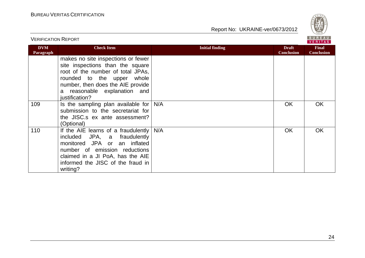

|                         |                                                                                                                                                                                                                                  |                        | <b>VERITAS</b>                    |                                   |
|-------------------------|----------------------------------------------------------------------------------------------------------------------------------------------------------------------------------------------------------------------------------|------------------------|-----------------------------------|-----------------------------------|
| <b>DVM</b><br>Paragraph | <b>Check Item</b>                                                                                                                                                                                                                | <b>Initial finding</b> | <b>Draft</b><br><b>Conclusion</b> | <b>Final</b><br><b>Conclusion</b> |
|                         | makes no site inspections or fewer<br>site inspections than the square<br>root of the number of total JPAs,<br>rounded to the upper whole<br>number, then does the AIE provide<br>a reasonable explanation and<br>justification? |                        |                                   |                                   |
| 109                     | Is the sampling plan available for $N/A$<br>submission to the secretariat for<br>the JISC.s ex ante assessment?<br>(Optional)                                                                                                    |                        | <b>OK</b>                         | OK.                               |
| 110                     | If the AIE learns of a fraudulently $N/A$<br>included JPA, a fraudulently<br>monitored JPA or an inflated<br>number of emission reductions<br>claimed in a JI PoA, has the AIE<br>informed the JISC of the fraud in<br>writing?  |                        | <b>OK</b>                         | <b>OK</b>                         |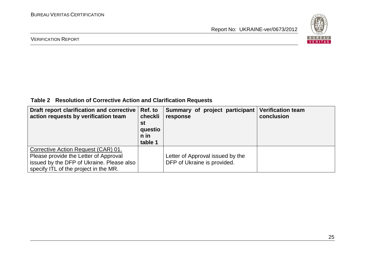

#### VERIFICATION REPORT

**Table 2 Resolution of Corrective Action and Clarification Requests**

| Draft report clarification and corrective   Ref. to<br>action requests by verification team                                                                        | checkli<br>st<br>questio<br>n in<br>table 1 | Summary of project participant<br>response                      | <b>Verification team</b><br>conclusion |
|--------------------------------------------------------------------------------------------------------------------------------------------------------------------|---------------------------------------------|-----------------------------------------------------------------|----------------------------------------|
| Corrective Action Request (CAR) 01.<br>Please provide the Letter of Approval<br>issued by the DFP of Ukraine. Please also<br>specify ITL of the project in the MR. |                                             | Letter of Approval issued by the<br>DFP of Ukraine is provided. |                                        |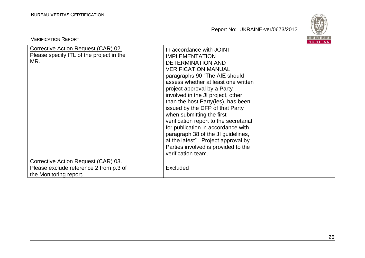

| <b>VERIFICATION REPORT</b>                                                                              |                                                                                                                                                                                                                                                                                                                                                                                                                                                                                                                                                                                         | BUREAU<br><b>VERITAS</b> |
|---------------------------------------------------------------------------------------------------------|-----------------------------------------------------------------------------------------------------------------------------------------------------------------------------------------------------------------------------------------------------------------------------------------------------------------------------------------------------------------------------------------------------------------------------------------------------------------------------------------------------------------------------------------------------------------------------------------|--------------------------|
| <b>Corrective Action Request (CAR) 02.</b><br>Please specify ITL of the project in the<br>MR.           | In accordance with JOINT<br><b>IMPLEMENTATION</b><br><b>DETERMINATION AND</b><br><b>VERIFICATION MANUAL</b><br>paragraphs 90 "The AIE should<br>assess whether at least one written<br>project approval by a Party<br>involved in the JI project, other<br>than the host Party(ies), has been<br>issued by the DFP of that Party<br>when submitting the first<br>verification report to the secretariat<br>for publication in accordance with<br>paragraph 38 of the JI guidelines,<br>at the latest". Project approval by<br>Parties involved is provided to the<br>verification team. |                          |
| Corrective Action Request (CAR) 03.<br>Please exclude reference 2 from p.3 of<br>the Monitoring report. | <b>Excluded</b>                                                                                                                                                                                                                                                                                                                                                                                                                                                                                                                                                                         |                          |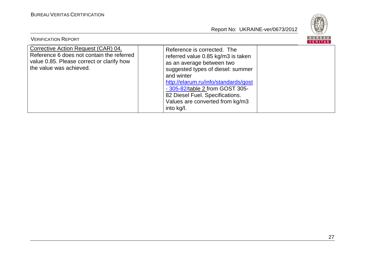

| <b>VERIFICATION REPORT</b>                                                                                                                               |                                                                                                                                                                                                                                                                                                                  | <b>BUREAU</b><br><b>VERITAS</b> |
|----------------------------------------------------------------------------------------------------------------------------------------------------------|------------------------------------------------------------------------------------------------------------------------------------------------------------------------------------------------------------------------------------------------------------------------------------------------------------------|---------------------------------|
| Corrective Action Request (CAR) 04.<br>Reference 6 does not contain the referred<br>value 0.85. Please correct or clarify how<br>the value was achieved. | Reference is corrected. The<br>referred value 0.85 kg/m3 is taken<br>as an average between two<br>suggested types of diesel: summer<br>and winter<br>http://elarum.ru/info/standards/gost<br>- 305-82/table 2 from GOST 305-<br>82 Diesel Fuel. Specifications.<br>Values are converted from kg/m3<br>into kg/l. |                                 |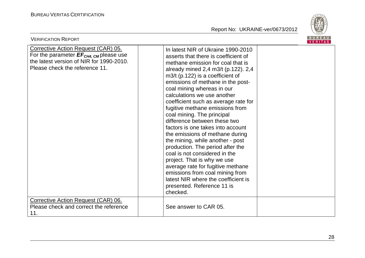

| <b>BUREAU</b><br><b>VERIFICATION REPORT</b><br>VERITAS                                                                                                                  |                                                                                                                                                                                                                                                                                                                                                                                                                                                                                                                                                                                                                                                                                                                                                                                                                  |  |
|-------------------------------------------------------------------------------------------------------------------------------------------------------------------------|------------------------------------------------------------------------------------------------------------------------------------------------------------------------------------------------------------------------------------------------------------------------------------------------------------------------------------------------------------------------------------------------------------------------------------------------------------------------------------------------------------------------------------------------------------------------------------------------------------------------------------------------------------------------------------------------------------------------------------------------------------------------------------------------------------------|--|
| Corrective Action Request (CAR) 05.<br>For the parameter $EF_{CH4, \text{CM}}$ please use<br>the latest version of NIR for 1990-2010.<br>Please check the reference 11. | In latest NIR of Ukraine 1990-2010<br>asserts that there is coefficient of<br>methane emission for coal that is<br>already mined 2,4 m3/t (p.122). 2,4<br>$m3/t$ (p.122) is a coefficient of<br>emissions of methane in the post-<br>coal mining whereas in our<br>calculations we use another<br>coefficient such as average rate for<br>fugitive methane emissions from<br>coal mining. The principal<br>difference between these two<br>factors is one takes into account<br>the emissions of methane during<br>the mining, while another - post<br>production. The period after the<br>coal is not considered in the<br>project. That is why we use<br>average rate for fugitive methane<br>emissions from coal mining from<br>latest NIR where the coefficient is<br>presented. Reference 11 is<br>checked. |  |
| Corrective Action Request (CAR) 06.<br>Please check and correct the reference<br>11.                                                                                    | See answer to CAR 05.                                                                                                                                                                                                                                                                                                                                                                                                                                                                                                                                                                                                                                                                                                                                                                                            |  |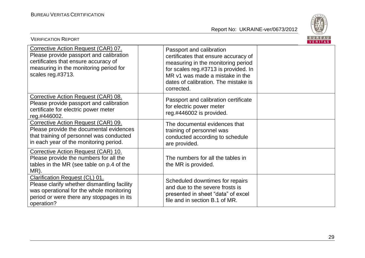

| <b>VERIFICATION REPORT</b>                                                                                                                                                                  |                                                                                                                                                                                                                                         | BUREAU<br><b>VERITAS</b> |
|---------------------------------------------------------------------------------------------------------------------------------------------------------------------------------------------|-----------------------------------------------------------------------------------------------------------------------------------------------------------------------------------------------------------------------------------------|--------------------------|
| Corrective Action Request (CAR) 07.<br>Please provide passport and calibration<br>certificates that ensure accuracy of<br>measuring in the monitoring period for<br>scales reg.#3713.       | Passport and calibration<br>certificates that ensure accuracy of<br>measuring in the monitoring period<br>for scales reg.#3713 is provided. In<br>MR v1 was made a mistake in the<br>dates of calibration. The mistake is<br>corrected. |                          |
| Corrective Action Request (CAR) 08.<br>Please provide passport and calibration<br>certificate for electric power meter<br>reg.#446002.                                                      | Passport and calibration certificate<br>for electric power meter<br>reg.#446002 is provided.                                                                                                                                            |                          |
| Corrective Action Request (CAR) 09.<br>Please provide the documental evidences<br>that training of personnel was conducted<br>in each year of the monitoring period.                        | The documental evidences that<br>training of personnel was<br>conducted according to schedule<br>are provided.                                                                                                                          |                          |
| Corrective Action Request (CAR) 10.<br>Please provide the numbers for all the<br>tables in the MR (see table on p.4 of the<br>MR).                                                          | The numbers for all the tables in<br>the MR is provided.                                                                                                                                                                                |                          |
| <b>Clarification Request (CL) 01.</b><br>Please clarify whether dismantling facility<br>was operational for the whole monitoring<br>period or were there any stoppages in its<br>operation? | Scheduled downtimes for repairs<br>and due to the severe frosts is<br>presented in sheet "data" of excel<br>file and in section B.1 of MR.                                                                                              |                          |